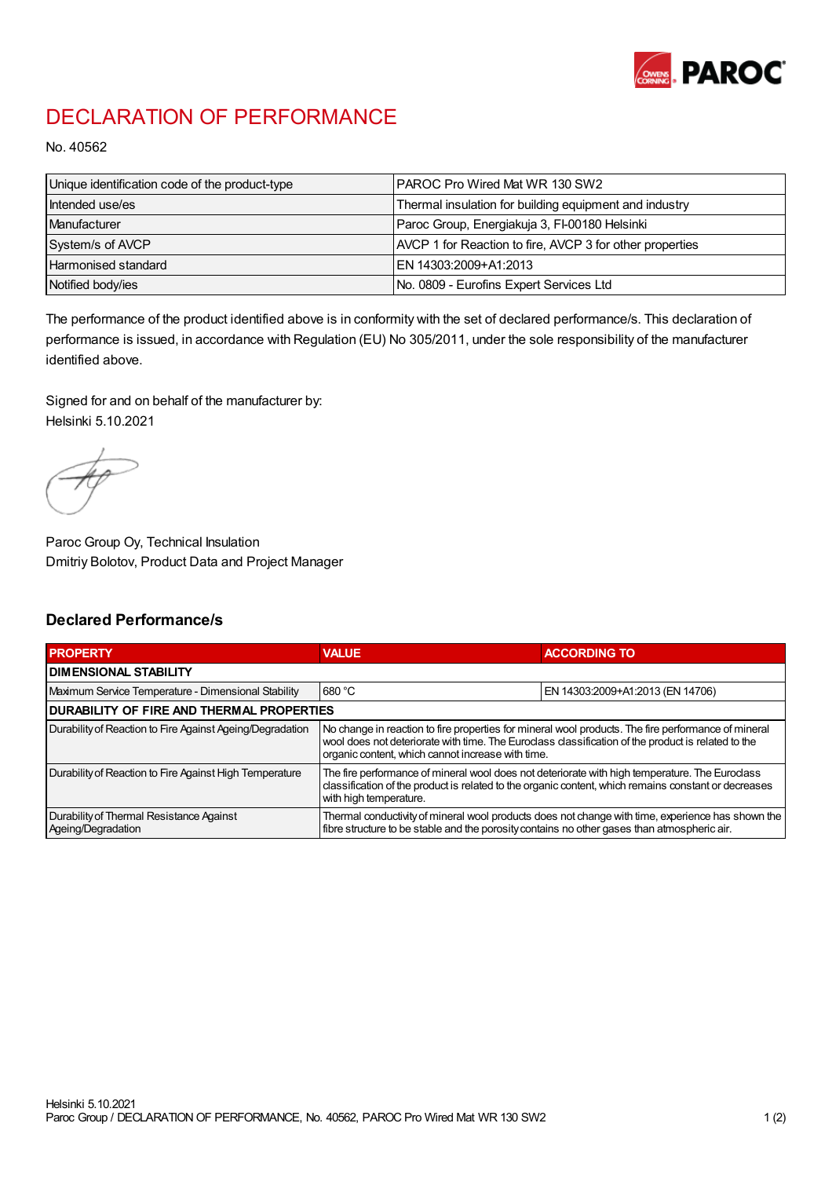

## DECLARATION OF PERFORMANCE

No. 40562

| Unique identification code of the product-type | IPAROC Pro Wired Mat WR 130 SW2                          |
|------------------------------------------------|----------------------------------------------------------|
| Intended use/es                                | Thermal insulation for building equipment and industry   |
| Manufacturer                                   | Paroc Group, Energiakuja 3, FI-00180 Helsinki            |
| System/s of AVCP                               | AVCP 1 for Reaction to fire, AVCP 3 for other properties |
| Harmonised standard                            | IEN 14303:2009+A1:2013                                   |
| Notified body/ies                              | No. 0809 - Eurofins Expert Services Ltd                  |

The performance of the product identified above is in conformity with the set of declared performance/s. This declaration of performance is issued, in accordance with Regulation (EU) No 305/2011, under the sole responsibility of the manufacturer identified above.

Signed for and on behalf of the manufacturer by: Helsinki 5.10.2021

Paroc Group Oy, Technical Insulation Dmitriy Bolotov, Product Data and Project Manager

## Declared Performance/s

| <b>PROPERTY</b>                                                | <b>VALUE</b>                                                                                                                                                                                                                                                   | <b>ACCORDING TO.</b>             |  |
|----------------------------------------------------------------|----------------------------------------------------------------------------------------------------------------------------------------------------------------------------------------------------------------------------------------------------------------|----------------------------------|--|
| <b>DIMENSIONAL STABILITY</b>                                   |                                                                                                                                                                                                                                                                |                                  |  |
| Maximum Service Temperature - Dimensional Stability            | 680 °C                                                                                                                                                                                                                                                         | EN 14303:2009+A1:2013 (EN 14706) |  |
| <b>DURABILITY OF FIRE AND THERMAL PROPERTIES</b>               |                                                                                                                                                                                                                                                                |                                  |  |
| Durability of Reaction to Fire Against Ageing/Degradation      | No change in reaction to fire properties for mineral wool products. The fire performance of mineral<br>wool does not deteriorate with time. The Euroclass classification of the product is related to the<br>organic content, which cannot increase with time. |                                  |  |
| Durability of Reaction to Fire Against High Temperature        | The fire performance of mineral wool does not deteriorate with high temperature. The Euroclass<br>classification of the product is related to the organic content, which remains constant or decreases<br>with high temperature.                               |                                  |  |
| Durability of Thermal Resistance Against<br>Ageing/Degradation | Thermal conductivity of mineral wool products does not change with time, experience has shown the<br>fibre structure to be stable and the porosity contains no other gases than atmospheric air.                                                               |                                  |  |